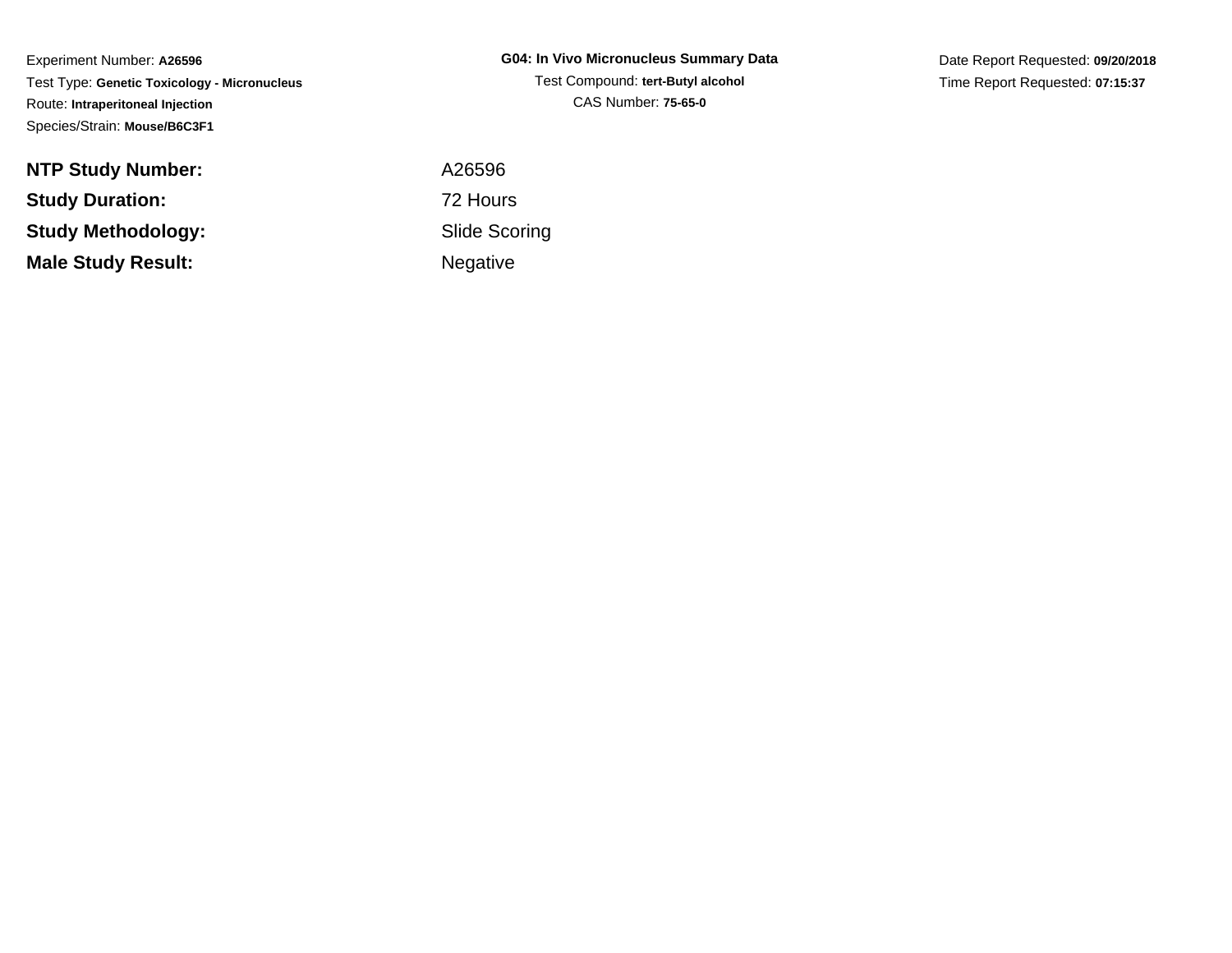Experiment Number: **A26596** Test Type: **Genetic Toxicology - Micronucleus**Route: **Intraperitoneal Injection**Species/Strain: **Mouse/B6C3F1**

| <b>G04: In Vivo Micronucleus Summary Data</b> |
|-----------------------------------------------|
| Test Compound: tert-Butyl alcohol             |
| CAS Number: 75-65-0                           |

Date Report Requested: **09/20/2018**Time Report Requested: **07:15:37**

| <b>NTP Study Number:</b>  | A26596          |
|---------------------------|-----------------|
| <b>Study Duration:</b>    | 72 Hours        |
| <b>Study Methodology:</b> | Slide Sco       |
| <b>Male Study Result:</b> | <b>Negative</b> |

 A26596 Slide ScoringNegative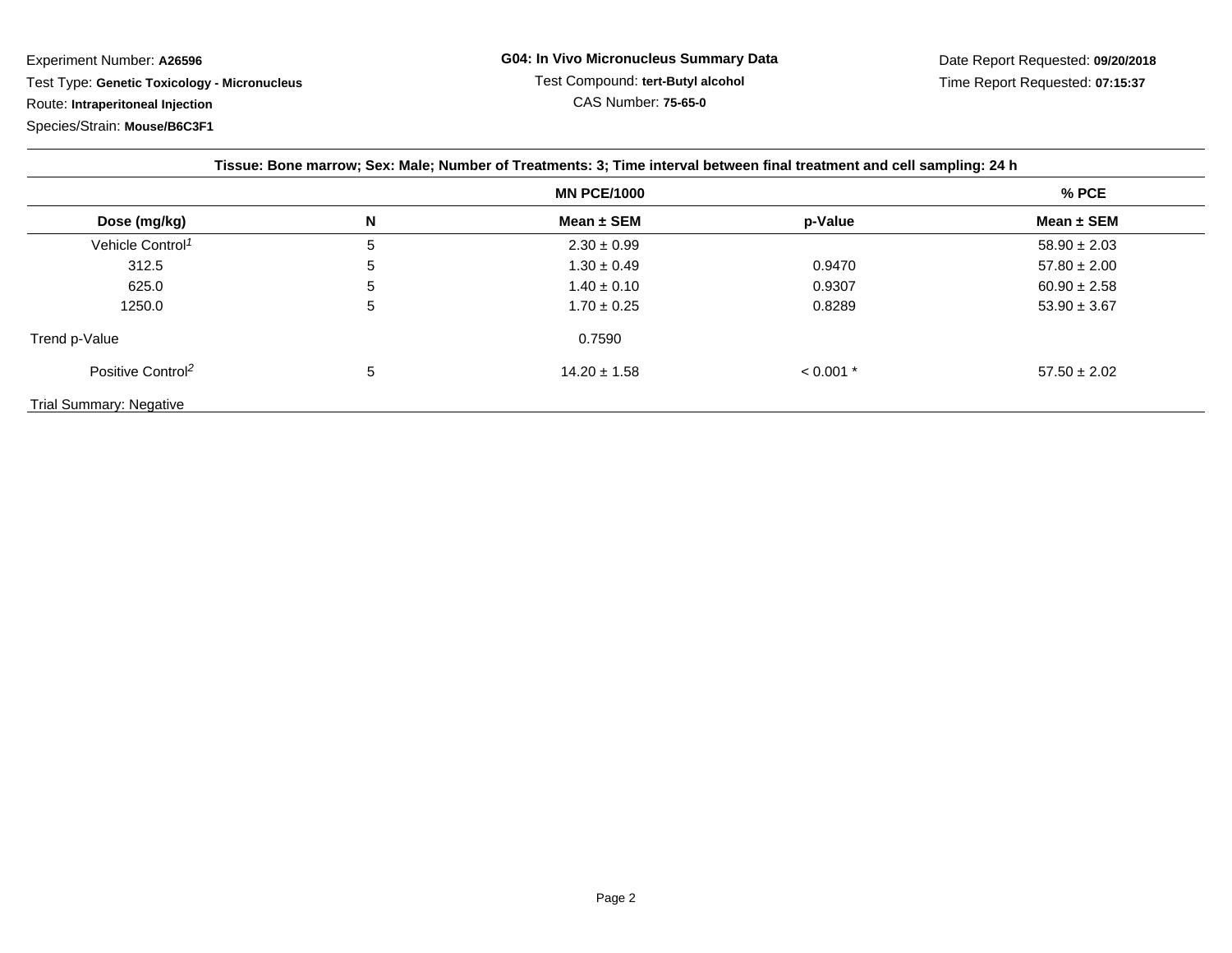Experiment Number: **A26596**Test Type: **Genetic Toxicology - Micronucleus**

Route: **Intraperitoneal Injection**

Species/Strain: **Mouse/B6C3F1**

| <b>MN PCE/1000</b>             |   |                  | $%$ PCE     |                  |
|--------------------------------|---|------------------|-------------|------------------|
| Dose (mg/kg)                   | N | Mean $\pm$ SEM   | p-Value     | Mean $\pm$ SEM   |
| Vehicle Control <sup>1</sup>   | 5 | $2.30 \pm 0.99$  |             | $58.90 \pm 2.03$ |
| 312.5                          | 5 | $1.30 \pm 0.49$  | 0.9470      | $57.80 \pm 2.00$ |
| 625.0                          | 5 | $1.40 \pm 0.10$  | 0.9307      | $60.90 \pm 2.58$ |
| 1250.0                         | 5 | $1.70 \pm 0.25$  | 0.8289      | $53.90 \pm 3.67$ |
| Trend p-Value                  |   | 0.7590           |             |                  |
| Positive Control <sup>2</sup>  | 5 | $14.20 \pm 1.58$ | $< 0.001$ * | $57.50 \pm 2.02$ |
| <b>Trial Summary: Negative</b> |   |                  |             |                  |